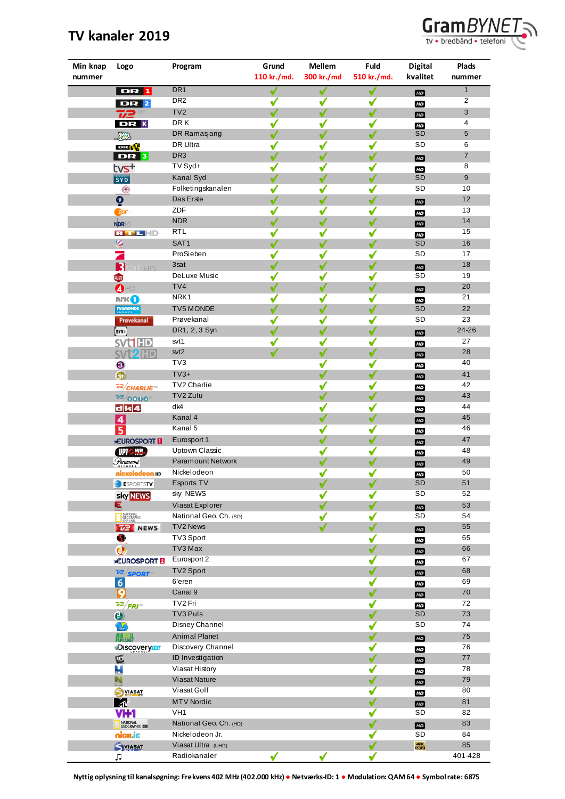## **TV kanaler 2019**



| Min knap<br>nummer | Logo                              | Program                  | Grund        | <b>Mellem</b> | Fuld         | <b>Digital</b>   | <b>Plads</b>     |
|--------------------|-----------------------------------|--------------------------|--------------|---------------|--------------|------------------|------------------|
|                    |                                   |                          | 110 kr./md.  | 300 kr./md    | 510 kr./md.  | kvalitet         | nummer           |
|                    | <b>DR</b> 1                       | DR <sub>1</sub>          | √            | √             | √            | HD               | $\mathbf{1}$     |
|                    | <b>DR</b> 2                       | DR <sub>2</sub>          | $\checkmark$ | ✔             | ✔            | HD               | $\overline{2}$   |
|                    | T/2                               | TV2                      | √            | √             | √            | E <sub>D</sub>   | 3                |
|                    | DR K                              | DR K                     | √            | ✔             | ✔            | HD               | 4                |
|                    | <b>Reiz</b>                       | DR Ramasjang             | ✔            | ✔             | ✔            | SD               | 5                |
|                    | <b>DELIVE</b>                     | DR Ultra                 | ✔            | √             | ✔            | SD               | 6                |
|                    | DR <sub>3</sub>                   | DR <sub>3</sub>          | √            | √             | ✔            | HD               | 7                |
|                    | tvs+                              | TV Syd+                  | ✔            | ✔             | ✔            | HD               | 8                |
|                    | <b>SYD</b>                        | Kanal Syd                | √            | √             | ✔            | <b>SD</b>        | $\boldsymbol{9}$ |
|                    | 4                                 | Folketingskanalen        | √            | ✔             | √            | SD               | 10               |
|                    | $\overline{\mathbf{Q}}$           | Das Erste                | √            | ✔             | ✔            | E                | 12               |
|                    | <b>EDF</b>                        | ZDF                      | √            | ✔             | √            | HD               | 13               |
|                    | NDRHD                             | <b>NDR</b>               | √            | ✔             | √            | HD               | 14               |
|                    | RTHEHD                            | <b>RTL</b>               | ✔            | ✔             | ✔            | <b>ED</b>        | 15               |
|                    | Ø                                 | SAT1                     | √            | ✔             | √            | SD               | 16               |
|                    |                                   | ProSieben                | √            | $\checkmark$  | ✔            | SD               | 17               |
|                    | B<br><b>LID</b>                   | 3sat                     | √            | √             | ✔            | <b>HD</b>        | 18               |
|                    | BIUSE                             | DeLuxe Music             | √            | ✔             | ✔            | SD               | 19               |
|                    | OHD                               | TV <sub>4</sub>          | √            | √             | √            | HD               | 20               |
|                    | <b>N'KO</b>                       | NRK1                     | ✔            | ✔             | ✔            | HD               | 21               |
|                    | <b>TV5MONDE</b>                   | TV5 MONDE                | √            | ✔             | √            | SD               | 22               |
|                    | Provekanal                        | Prøvekanal               | √            | √             | √            | SD               | 23               |
|                    | (SYN))                            | DR1, 2, 3 Syn            | √            | ✔             | √            | E                | 24-26            |
|                    | <b>SVt1HD</b>                     | svt1                     | √            | ✔             | √            | HD               | 27               |
|                    | SVI <sub>2</sub> HD               | svt2                     | √            | ✔             | $\checkmark$ | E <sub>D</sub>   | 28               |
|                    | $\boldsymbol{\Theta}$             | TV3                      |              | ✔             | ✔            | HD               | 40               |
|                    | $\odot$                           | $TV3+$                   |              | ✔             | √            | E <sub>D</sub>   | 41               |
|                    | $\overline{v^2}/$ CHARLIE         | TV2 Charlie              |              | ✔             | ✔            | HD               | 42               |
|                    | $\frac{72}{9000}$                 | TV2 Zulu                 |              | √             | ✔            | E <sub>D</sub>   | 43               |
|                    | d k 4                             | dk4                      |              | ✔             | ✔            | HD               | 44               |
|                    | $\vert 4 \vert$                   | Kanal 4                  |              | √             | √            | E <sub>D</sub>   | 45               |
|                    | 5 <sup>1</sup>                    | Kanal 5                  |              | ✔             | ✔            | HD               | 46               |
|                    | <b>EUROSPORT</b>                  | Eurosport 1              |              | √             | ✔            | HD               | 47               |
|                    | <b>UPIC HASC</b>                  | Uptown Classic           |              | √             | √            | E                | 48               |
|                    | Paramount                         | <b>Paramount Network</b> |              | ✔             | ✔            | <b>FD</b>        | 49               |
|                    | nickelodeon.                      | Nickelodeon              |              | √             | √            | HD               | 50               |
|                    | <b>ESPORTSTV</b>                  | Esports TV               |              | √             | √            | <b>SD</b>        | 51               |
|                    | <b>Sky NEWS</b>                   | sky NEWS                 |              | ✔             | ✔            | SD               | 52               |
|                    | Е                                 | Viasat Explorer          |              | √             | ✔            | HD               | 53               |
|                    | NATIONAL<br>GEOGRAPHIC<br>CHANNEL | National Geo. Ch. (SD)   |              | ✔             | √            | SD               | 54               |
|                    | $\overline{v}$ NEWS               | TV2 News                 |              | ✔             | ✔            | E                | 55               |
|                    | S                                 | TV3 Sport                |              |               | ✔            | HD               | 65               |
|                    | Ø.                                | TV3 Max                  |              |               | ✔            | HD               | 66               |
|                    | <b>EUROSPORT</b>                  | Eurosport 2              |              |               | ✔            | HD               | 67               |
|                    | $\frac{1}{2}$ SPORT               | TV2 Sport                |              |               |              | E                | 68               |
|                    | 6                                 | 6'eren                   |              |               | √            | HD               | 69               |
|                    | 9                                 | Canal 9                  |              |               |              | E                | 70               |
|                    | $\frac{7}{2}$ FRI                 | TV2 Fri                  |              |               | √            | H <sub>D</sub>   | 72               |
|                    | $\bullet$                         | TV3 Puls                 |              |               | √            | SD               | 73               |
|                    | $\sum$                            | Disney Channel           |              |               | ✔            | SD               | 74               |
|                    | <b>AVIEWE</b>                     | <b>Animal Planet</b>     |              |               | √            | E                | 75               |
|                    | <b>DISCOVETY HD</b>               | Discovery Channel        |              |               | ✔            | HD               | 76               |
|                    | 叵                                 | ID Investigation         |              |               | ✔            | <b>HD</b>        | $77 \,$          |
|                    | $\mathbf{L}$                      | Viasat History           |              |               | ✔            | HD               | 78               |
|                    | $\mathbf{L}$                      | Viasat Nature            |              |               | ✔            | HD               | 79               |
|                    | <b>SYIASAT</b>                    | Viasat Golf              |              |               | ✔            | HD               | 80               |
|                    | M                                 | <b>MTV Nordic</b>        |              |               | ✔            | E                | 81               |
|                    | VH1                               | VH <sub>1</sub>          |              |               | ✔            | SD               | 82               |
|                    | NATIONAL<br>GEOGRAPHIC LED        | National Geo. Ch. (HD)   |              |               | ✔            | H <sub>D</sub>   | 83               |
|                    | nickjr:                           | Nickelodeon Jr.          |              |               | √            | SD               | 84               |
|                    | <b>SYLASAT</b>                    | Viasat Ultra (UHD)       |              |               | √            | $\frac{4K}{000}$ | 85               |
|                    | Л                                 | Radiokanaler             | ✔            | ✔             | ✔            |                  | 401-428          |